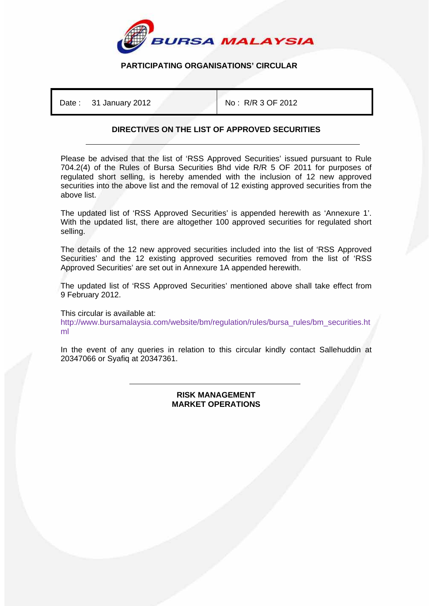

## **PARTICIPATING ORGANISATIONS' CIRCULAR**

Date : 31 January 2012 **No : R/R 3 OF 2012** 

## **DIRECTIVES ON THE LIST OF APPROVED SECURITIES**

Please be advised that the list of 'RSS Approved Securities' issued pursuant to Rule 704.2(4) of the Rules of Bursa Securities Bhd vide R/R 5 OF 2011 for purposes of regulated short selling, is hereby amended with the inclusion of 12 new approved securities into the above list and the removal of 12 existing approved securities from the above list.

The updated list of 'RSS Approved Securities' is appended herewith as 'Annexure 1'. With the updated list, there are altogether 100 approved securities for regulated short selling.

The details of the 12 new approved securities included into the list of 'RSS Approved Securities' and the 12 existing approved securities removed from the list of 'RSS Approved Securities' are set out in Annexure 1A appended herewith.

The updated list of 'RSS Approved Securities' mentioned above shall take effect from 9 February 2012.

This circular is available at: http://www.bursamalaysia.com/website/bm/regulation/rules/bursa\_rules/bm\_securities.ht ml

In the event of any queries in relation to this circular kindly contact Sallehuddin at 20347066 or Syafiq at 20347361.

## ֺ **RISK MANAGEMENT MARKET OPERATIONS**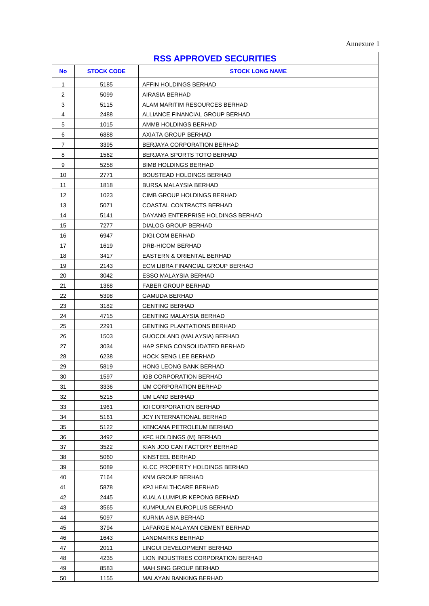|  | Annexure 1 |  |
|--|------------|--|
|--|------------|--|

|           |                   | <b>RSS APPROVED SECURITIES</b>                             |
|-----------|-------------------|------------------------------------------------------------|
| <b>No</b> | <b>STOCK CODE</b> | <b>STOCK LONG NAME</b>                                     |
| 1         | 5185              | AFFIN HOLDINGS BERHAD                                      |
| 2         | 5099              | AIRASIA BERHAD                                             |
| 3         | 5115              | ALAM MARITIM RESOURCES BERHAD                              |
| 4         | 2488              | ALLIANCE FINANCIAL GROUP BERHAD                            |
| 5         | 1015              | AMMB HOLDINGS BERHAD                                       |
| 6         | 6888              | AXIATA GROUP BERHAD                                        |
| 7         | 3395              | BERJAYA CORPORATION BERHAD                                 |
| 8         | 1562              | BERJAYA SPORTS TOTO BERHAD                                 |
| 9         | 5258              | <b>BIMB HOLDINGS BERHAD</b>                                |
| 10        | 2771              | <b>BOUSTEAD HOLDINGS BERHAD</b>                            |
| 11        | 1818              | BURSA MALAYSIA BERHAD                                      |
| 12        | 1023              | CIMB GROUP HOLDINGS BERHAD                                 |
| 13        | 5071              | COASTAL CONTRACTS BERHAD                                   |
| 14        | 5141              | DAYANG ENTERPRISE HOLDINGS BERHAD                          |
| 15        | 7277              | DIALOG GROUP BERHAD                                        |
| 16        | 6947              | DIGI.COM BERHAD                                            |
| 17        | 1619              | DRB-HICOM BERHAD                                           |
| 18        | 3417              | <b>EASTERN &amp; ORIENTAL BERHAD</b>                       |
| 19        | 2143              | ECM LIBRA FINANCIAL GROUP BERHAD                           |
| 20        | 3042              | ESSO MALAYSIA BERHAD                                       |
| 21        | 1368              | <b>FABER GROUP BERHAD</b>                                  |
| 22        | 5398              | <b>GAMUDA BERHAD</b>                                       |
| 23        | 3182              | <b>GENTING BERHAD</b>                                      |
| 24        | 4715              | <b>GENTING MALAYSIA BERHAD</b>                             |
| 25        | 2291              | <b>GENTING PLANTATIONS BERHAD</b>                          |
| 26        | 1503              | GUOCOLAND (MALAYSIA) BERHAD                                |
| 27        | 3034              | HAP SENG CONSOLIDATED BERHAD                               |
| 28        | 6238              | <b>HOCK SENG LEE BERHAD</b>                                |
| 29        | 5819              | <b>HONG LEONG BANK BERHAD</b>                              |
| 30        | 1597              | IGB CORPORATION BERHAD                                     |
| 31        | 3336              | IJM CORPORATION BERHAD                                     |
| 32        | 5215              | IJM LAND BERHAD                                            |
| 33        | 1961              | IOI CORPORATION BERHAD                                     |
| 34        | 5161              | JCY INTERNATIONAL BERHAD                                   |
| 35<br>36  | 5122<br>3492      | KENCANA PETROLEUM BERHAD<br><b>KFC HOLDINGS (M) BERHAD</b> |
| 37        | 3522              | KIAN JOO CAN FACTORY BERHAD                                |
| 38        | 5060              | KINSTEEL BERHAD                                            |
| 39        | 5089              | KLCC PROPERTY HOLDINGS BERHAD                              |
| 40        | 7164              | KNM GROUP BERHAD                                           |
| 41        | 5878              | KPJ HEALTHCARE BERHAD                                      |
| 42        | 2445              | KUALA LUMPUR KEPONG BERHAD                                 |
| 43        | 3565              | KUMPULAN EUROPLUS BERHAD                                   |
| 44        | 5097              | KURNIA ASIA BERHAD                                         |
| 45        | 3794              | LAFARGE MALAYAN CEMENT BERHAD                              |
| 46        | 1643              | LANDMARKS BERHAD                                           |
| 47        | 2011              | LINGUI DEVELOPMENT BERHAD                                  |
| 48        | 4235              | LION INDUSTRIES CORPORATION BERHAD                         |
| 49        | 8583              | MAH SING GROUP BERHAD                                      |
| 50        | 1155              | MALAYAN BANKING BERHAD                                     |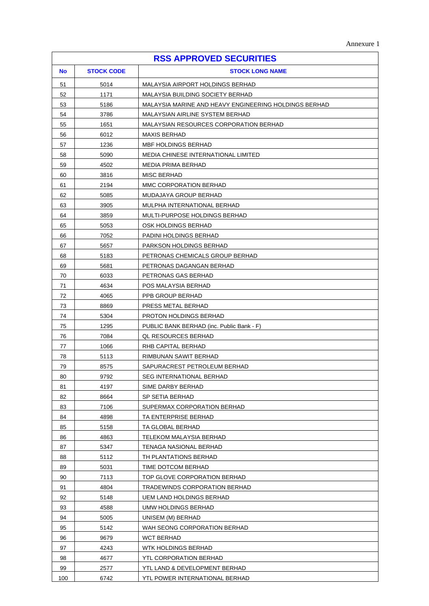| <b>RSS APPROVED SECURITIES</b> |                   |                                                       |
|--------------------------------|-------------------|-------------------------------------------------------|
| <b>No</b>                      | <b>STOCK CODE</b> | <b>STOCK LONG NAME</b>                                |
| 51                             | 5014              | MALAYSIA AIRPORT HOLDINGS BERHAD                      |
| 52                             | 1171              | MALAYSIA BUILDING SOCIETY BERHAD                      |
| 53                             | 5186              | MALAYSIA MARINE AND HEAVY ENGINEERING HOLDINGS BERHAD |
| 54                             | 3786              | MALAYSIAN AIRLINE SYSTEM BERHAD                       |
| 55                             | 1651              | MALAYSIAN RESOURCES CORPORATION BERHAD                |
| 56                             | 6012              | <b>MAXIS BERHAD</b>                                   |
| 57                             | 1236              | <b>MBF HOLDINGS BERHAD</b>                            |
| 58                             | 5090              | <b>MEDIA CHINESE INTERNATIONAL LIMITED</b>            |
| 59                             | 4502              | MEDIA PRIMA BERHAD                                    |
| 60                             | 3816              | MISC BERHAD                                           |
| 61                             | 2194              | MMC CORPORATION BERHAD                                |
| 62                             | 5085              | MUDAJAYA GROUP BERHAD                                 |
| 63                             | 3905              | MULPHA INTERNATIONAL BERHAD                           |
| 64                             | 3859              | MULTI-PURPOSE HOLDINGS BERHAD                         |
| 65                             | 5053              | OSK HOLDINGS BERHAD                                   |
| 66                             | 7052              | <b>PADINI HOLDINGS BERHAD</b>                         |
| 67                             | 5657              | PARKSON HOLDINGS BERHAD                               |
| 68                             | 5183              | PETRONAS CHEMICALS GROUP BERHAD                       |
| 69                             | 5681              | PETRONAS DAGANGAN BERHAD                              |
| 70                             | 6033              | PETRONAS GAS BERHAD                                   |
| 71                             | 4634              | POS MALAYSIA BERHAD                                   |
| 72                             | 4065              | PPB GROUP BERHAD                                      |
| 73                             | 8869              | PRESS METAL BERHAD                                    |
| 74                             | 5304              | PROTON HOLDINGS BERHAD                                |
| 75                             | 1295              | PUBLIC BANK BERHAD (inc. Public Bank - F)             |
| 76                             | 7084              | QL RESOURCES BERHAD                                   |
| 77                             | 1066              | RHB CAPITAL BERHAD                                    |
| 78                             | 5113              | RIMBUNAN SAWIT BERHAD                                 |
| 79                             | 8575              | SAPURACREST PETROLEUM BERHAD                          |
| 80                             | 9792              | SEG INTERNATIONAL BERHAD                              |
| 81                             | 4197              | SIME DARBY BERHAD                                     |
| 82                             | 8664              | SP SETIA BERHAD                                       |
| 83                             | 7106              | SUPERMAX CORPORATION BERHAD                           |
| 84                             | 4898              | TA ENTERPRISE BERHAD                                  |
| 85                             | 5158              | TA GLOBAL BERHAD                                      |
| 86                             | 4863              | <b>TELEKOM MALAYSIA BERHAD</b>                        |
| 87                             | 5347              | TENAGA NASIONAL BERHAD                                |
| 88                             | 5112              | TH PLANTATIONS BERHAD                                 |
| 89                             | 5031              | TIME DOTCOM BERHAD                                    |
| 90                             | 7113              | TOP GLOVE CORPORATION BERHAD                          |
| 91                             | 4804              | TRADEWINDS CORPORATION BERHAD                         |
| 92                             | 5148              | <b>UEM LAND HOLDINGS BERHAD</b>                       |
| 93                             | 4588              | UMW HOLDINGS BERHAD                                   |
| 94                             | 5005              | UNISEM (M) BERHAD                                     |
| 95                             | 5142              | WAH SEONG CORPORATION BERHAD                          |
| 96                             | 9679              | WCT BERHAD                                            |
| 97                             | 4243              | WTK HOLDINGS BERHAD                                   |
| 98                             | 4677              | <b>YTL CORPORATION BERHAD</b>                         |
| 99                             | 2577              | YTL LAND & DEVELOPMENT BERHAD                         |
| 100                            | 6742              | YTL POWER INTERNATIONAL BERHAD                        |

 $\mathbf{r}$